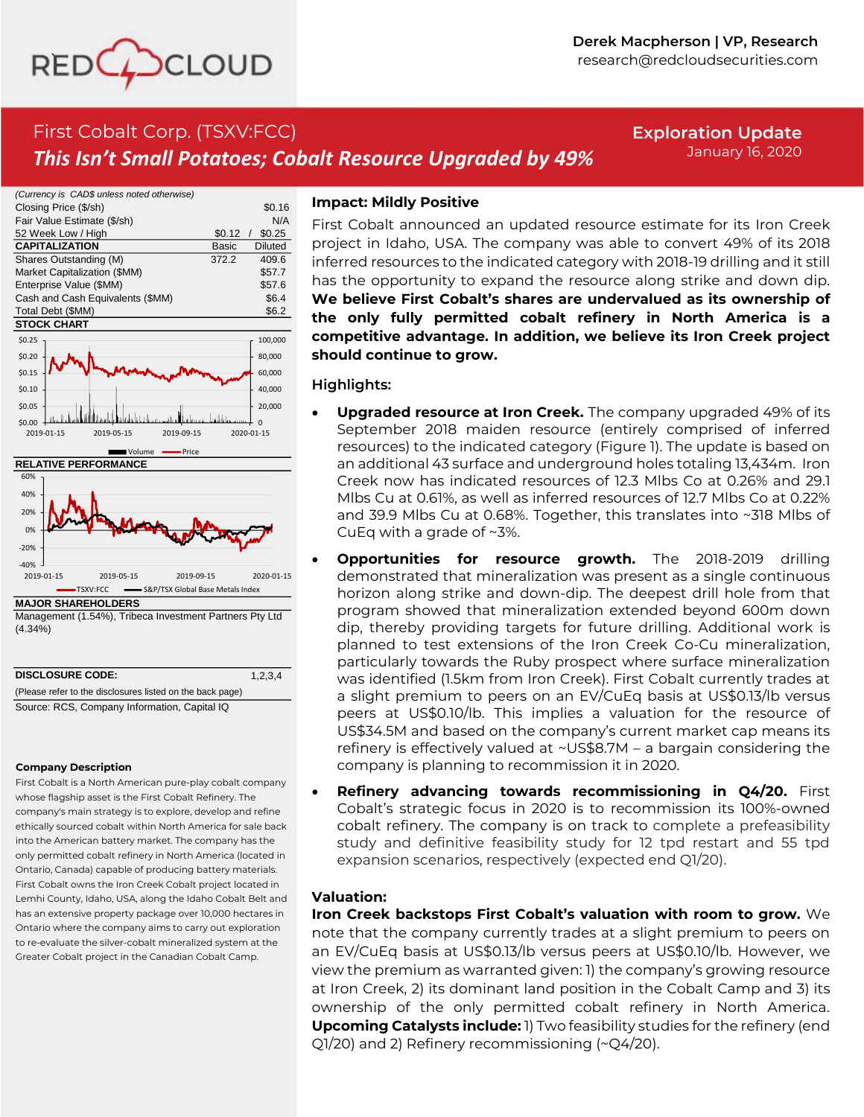

# First Cobalt Corp. (TSXV:FCC) *This Isn't Small Potatoes; Cobalt Resource Upgraded by 49%*

**Exploration Update** January 16, 2020



**MAJOR SHAREHOLDERS**

Management (1.54%), Tribeca Investment Partners Pty Ltd (4.34%)

| <b>DISCLOSURE CODE:</b>                                   | 1.2.3.4 |  |
|-----------------------------------------------------------|---------|--|
| (Please refer to the disclosures listed on the back page) |         |  |
| Source: RCS, Company Information, Capital IQ              |         |  |

#### **Company Description**

First Cobalt is a North American pure-play cobalt company whose flagship asset is the First Cobalt Refinery. The company's main strategy is to explore, develop and refine ethically sourced cobalt within North America for sale back into the American battery market. The company has the only permitted cobalt refinery in North America (located in Ontario, Canada) capable of producing battery materials. First Cobalt owns the Iron Creek Cobalt project located in Lemhi County, Idaho, USA, along the Idaho Cobalt Belt and has an extensive property package over 10,000 hectares in Ontario where the company aims to carry out exploration to re-evaluate the silver-cobalt mineralized system at the Greater Cobalt project in the Canadian Cobalt Camp.

## **Impact: Mildly Positive**

First Cobalt announced an updated resource estimate for its Iron Creek project in Idaho, USA. The company was able to convert 49% of its 2018 inferred resources to the indicated category with 2018-19 drilling and it still has the opportunity to expand the resource along strike and down dip. **We believe First Cobalt's shares are undervalued as its ownership of the only fully permitted cobalt refinery in North America is a competitive advantage. In addition, we believe its Iron Creek project should continue to grow.**

### **Highlights:**

- **Upgraded resource at Iron Creek.** The company upgraded 49% of its September 2018 maiden resource (entirely comprised of inferred resources) to the indicated category (Figure 1). The update is based on an additional 43 surface and underground holes totaling 13,434m. Iron Creek now has indicated resources of 12.3 Mlbs Co at 0.26% and 29.1 Mlbs Cu at 0.61%, as well as inferred resources of 12.7 Mlbs Co at 0.22% and 39.9 Mlbs Cu at 0.68%. Together, this translates into ~318 Mlbs of CuEq with a grade of ~3%.
- **Opportunities for resource growth.** The 2018-2019 drilling demonstrated that mineralization was present as a single continuous horizon along strike and down-dip. The deepest drill hole from that program showed that mineralization extended beyond 600m down dip, thereby providing targets for future drilling. Additional work is planned to test extensions of the Iron Creek Co-Cu mineralization, particularly towards the Ruby prospect where surface mineralization was identified (1.5km from Iron Creek). First Cobalt currently trades at a slight premium to peers on an EV/CuEq basis at US\$0.13/lb versus peers at US\$0.10/lb. This implies a valuation for the resource of US\$34.5M and based on the company's current market cap means its refinery is effectively valued at ~US\$8.7M – a bargain considering the company is planning to recommission it in 2020.
- **Refinery advancing towards recommissioning in Q4/20.** First Cobalt's strategic focus in 2020 is to recommission its 100%-owned cobalt refinery. The company is on track to complete a prefeasibility study and definitive feasibility study for 12 tpd restart and 55 tpd expansion scenarios, respectively (expected end Q1/20).

## **Valuation:**

**Iron Creek backstops First Cobalt's valuation with room to grow.** We note that the company currently trades at a slight premium to peers on an EV/CuEq basis at US\$0.13/lb versus peers at US\$0.10/lb. However, we view the premium as warranted given: 1) the company's growing resource at Iron Creek, 2) its dominant land position in the Cobalt Camp and 3) its ownership of the only permitted cobalt refinery in North America. **Upcoming Catalysts include:** 1) Two feasibility studies for the refinery (end Q1/20) and 2) Refinery recommissioning (~Q4/20).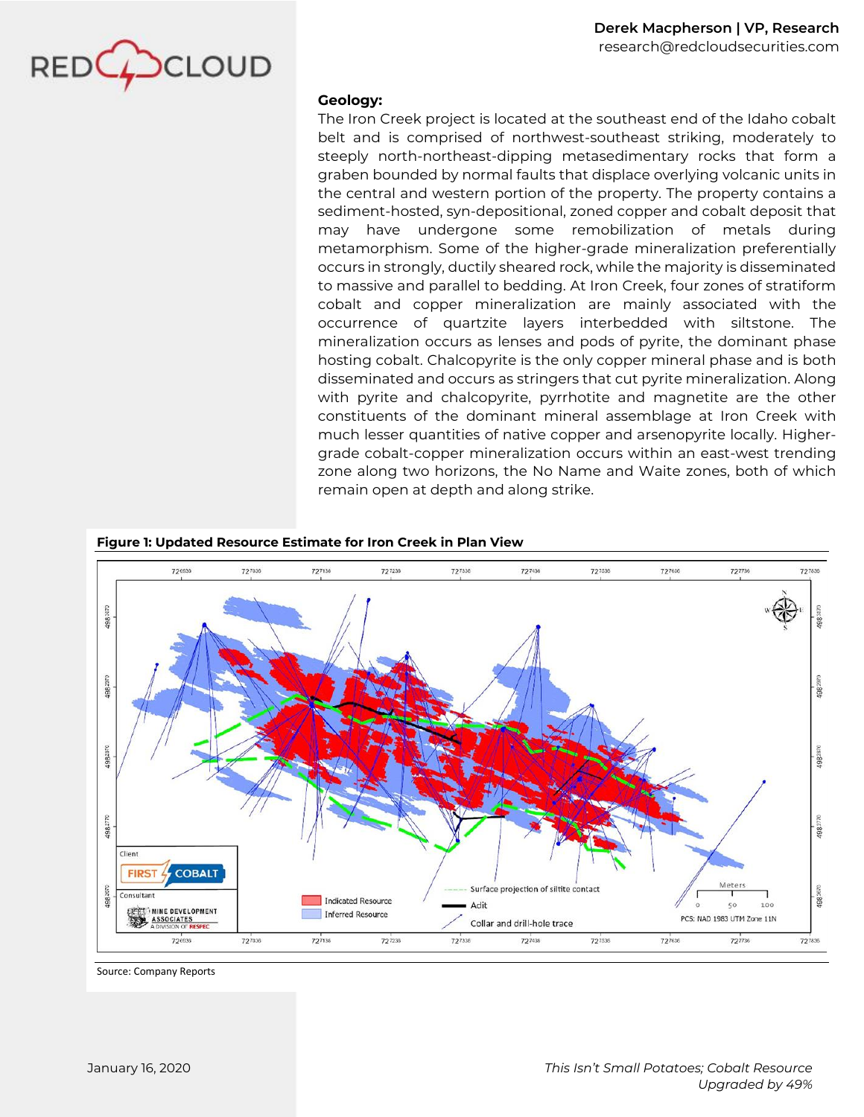

## **Geology:**

The Iron Creek project is located at the southeast end of the Idaho cobalt belt and is comprised of northwest-southeast striking, moderately to steeply north-northeast-dipping metasedimentary rocks that form a graben bounded by normal faults that displace overlying volcanic units in the central and western portion of the property. The property contains a sediment-hosted, syn-depositional, zoned copper and cobalt deposit that may have undergone some remobilization of metals during metamorphism. Some of the higher-grade mineralization preferentially occurs in strongly, ductily sheared rock, while the majority is disseminated to massive and parallel to bedding. At Iron Creek, four zones of stratiform cobalt and copper mineralization are mainly associated with the occurrence of quartzite layers interbedded with siltstone. The mineralization occurs as lenses and pods of pyrite, the dominant phase hosting cobalt. Chalcopyrite is the only copper mineral phase and is both disseminated and occurs as stringers that cut pyrite mineralization. Along with pyrite and chalcopyrite, pyrrhotite and magnetite are the other constituents of the dominant mineral assemblage at Iron Creek with much lesser quantities of native copper and arsenopyrite locally. Highergrade cobalt-copper mineralization occurs within an east-west trending zone along two horizons, the No Name and Waite zones, both of which remain open at depth and along strike.

#### **Figure 1: Updated Resource Estimate for Iron Creek in Plan View**



Source: Company Reports